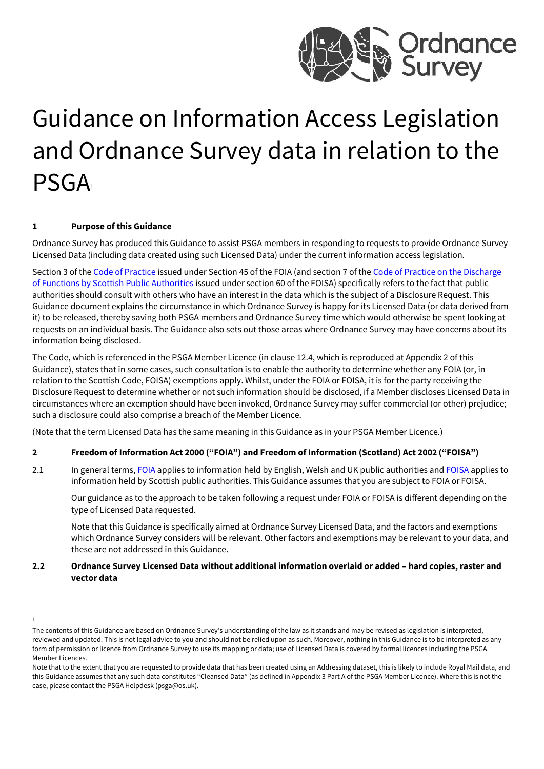

# Guidance on Information Access Legislation and Ordnance Survey data in relation to the **PSGA**

# **1 Purpose of this Guidance**

Ordnance Survey has produced this Guidance to assist PSGA members in responding to requests to provide Ordnance Survey Licensed Data (including data created using such Licensed Data) under the current information access legislation.

Section 3 of th[e Code of Practice is](https://assets.publishing.service.gov.uk/government/uploads/system/uploads/attachment_data/file/744071/CoP_FOI_Code_of_Practice_-_Minor_Amendments_20180926_.pdf)sued under Section 45 of the FOIA (and section 7 of th[e Code of Practice on the Discharge](https://www.gov.scot/binaries/content/documents/govscot/publications/advice-and-guidance/2016/12/foi-eir-section-60-code-of-practice/documents/foi-section-60-code-practice-pdf/foi-section-60-code-practice-pdf/govscot%3Adocument/FOI%20-%20section%2060%20code%20of%20practice.pdf) [of Functions by Scottish Public Authorities i](https://www.gov.scot/binaries/content/documents/govscot/publications/advice-and-guidance/2016/12/foi-eir-section-60-code-of-practice/documents/foi-section-60-code-practice-pdf/foi-section-60-code-practice-pdf/govscot%3Adocument/FOI%20-%20section%2060%20code%20of%20practice.pdf)ssued under section 60 of the FOISA) specifically refers to the fact that public authorities should consult with others who have an interest in the data which is the subject of a Disclosure Request. This Guidance document explains the circumstance in which Ordnance Survey is happy for its Licensed Data (or data derived from it) to be released, thereby saving both PSGA members and Ordnance Survey time which would otherwise be spent looking at requests on an individual basis. The Guidance also sets out those areas where Ordnance Survey may have concerns about its information being disclosed.

The Code, which is referenced in the PSGA Member Licence (in clause 12.4, which is reproduced at Appendix 2 of this Guidance), states that in some cases, such consultation is to enable the authority to determine whether any FOIA (or, in relation to the Scottish Code, FOISA) exemptions apply. Whilst, under the FOIA or FOISA, it is for the party receiving the Disclosure Request to determine whether or not such information should be disclosed, if a Member discloses Licensed Data in circumstances where an exemption should have been invoked, Ordnance Survey may suffer commercial (or other) prejudice; such a disclosure could also comprise a breach of the Member Licence.

(Note that the term Licensed Data has the same meaning in this Guidance as in your PSGA Member Licence.)

#### **2 Freedom of Information Act 2000 ("FOIA") and Freedom of Information (Scotland) Act 2002 ("FOISA")**

2.1 In general terms[, FOIA a](http://www.legislation.gov.uk/ukpga/2000/36/contents)pplies to information held by English, Welsh and UK public authorities an[d FOISA a](https://www.legislation.gov.uk/asp/2002/13/contents)pplies to information held by Scottish public authorities. This Guidance assumes that you are subject to FOIA or FOISA.

Our guidance as to the approach to be taken following a request under FOIA or FOISA is different depending on the type of Licensed Data requested.

Note that this Guidance is specifically aimed at Ordnance Survey Licensed Data, and the factors and exemptions which Ordnance Survey considers will be relevant. Other factors and exemptions may be relevant to your data, and these are not addressed in this Guidance.

#### **2.2 Ordnance Survey Licensed Data without additional information overlaid or added – hard copies, raster and vector data**

<sup>1</sup>

The contents of this Guidance are based on Ordnance Survey's understanding of the law as it stands and may be revised as legislation is interpreted, reviewed and updated. This is not legal advice to you and should not be relied upon as such. Moreover, nothing in this Guidance is to be interpreted as any form of permission or licence from Ordnance Survey to use its mapping or data; use of Licensed Data is covered by formal licences including the PSGA Member Licences.

Note that to the extent that you are requested to provide data that has been created using an Addressing dataset, this is likely to include Royal Mail data, and this Guidance assumes that any such data constitutes "Cleansed Data" (as defined in Appendix 3 Part A of the PSGA Member Licence). Where this is not the case, please contact the PSGA Helpdes[k \(psga@os.uk\).](mailto:psga@os.uk)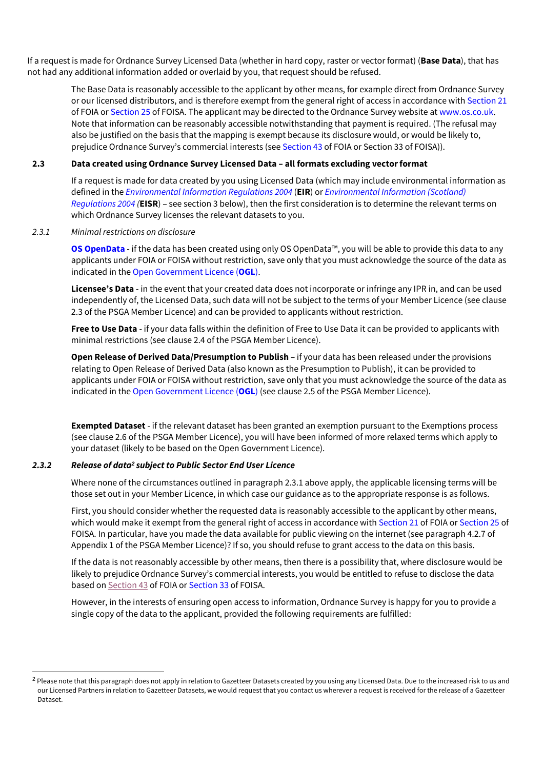If a request is made for Ordnance Survey Licensed Data (whether in hard copy, raster or vector format) (**Base Data**), that has not had any additional information added or overlaid by you, that request should be refused.

The Base Data is reasonably accessible to the applicant by other means, for example direct from Ordnance Survey or our licensed distributors, and is therefore exempt from the general right of access in accordance wit[h Section 21](http://www.legislation.gov.uk/ukpga/2000/36/section/21) of FOIA or [Section 25 o](https://www.legislation.gov.uk/asp/2002/13/section/25)f FOISA. The applicant may be directed to the Ordnance Survey website a[t www.os.co.uk.](http://www.os.co.uk/) Note that information can be reasonably accessible notwithstanding that payment is required. (The refusal may also be justified on the basis that the mapping is exempt because its disclosure would, or would be likely to, prejudice Ordnance Survey's commercial interests (see [Section 43 o](http://www.legislation.gov.uk/ukpga/2000/36/section/43)f FOIA or Section 33 of FOISA)).

#### **2.3 Data created using Ordnance Survey Licensed Data – all formats excluding vectorformat**

If a request is made for data created by you using Licensed Data (which may include environmental information as defined in the *[Environmental Information Regulations 2004](http://www.legislation.gov.uk/uksi/2004/3391/contents/made)* (**EIR**) or *[Environmental Information \(Scotland\)](https://www.legislation.gov.uk/ssi/2004/520/contents/made) [Regulations 2004](https://www.legislation.gov.uk/ssi/2004/520/contents/made) (***EISR**) – see section 3 below), then the first consideration is to determine the relevant terms on which Ordnance Survey licenses the relevant datasets to you.

#### *2.3.1 Minimal restrictions on disclosure*

**[OS OpenData](https://www.ordnancesurvey.co.uk/business-and-government/licensing/using-creating-data-with-os-products/os-opendata.html)** - if the data has been created using only OS OpenData™, you will be able to provide this data to any applicants under FOIA or FOISA without restriction, save only that you must acknowledge the source of the data as indicated in th[e Open Government Licence \(](http://www.nationalarchives.gov.uk/doc/open-government-licence/version/3/)**OGL**).

**Licensee's Data** - in the event that your created data does not incorporate or infringe any IPR in, and can be used independently of, the Licensed Data, such data will not be subject to the terms of your Member Licence (see clause 2.3 of the PSGA Member Licence) and can be provided to applicants without restriction.

**Free to Use Data** - if your data falls within the definition of Free to Use Data it can be provided to applicants with minimal restrictions (see clause 2.4 of the PSGA Member Licence).

**Open Release of Derived Data/Presumption to Publish** – if your data has been released under the provisions relating to Open Release of Derived Data (also known as the Presumption to Publish), it can be provided to applicants under FOIA or FOISA without restriction, save only that you must acknowledge the source of the data as indicated in th[e Open Government Licence \(](http://www.nationalarchives.gov.uk/doc/open-government-licence/version/3/)**OGL**) (see clause 2.5 of the PSGA Member Licence).

**Exempted Dataset** - if the relevant dataset has been granted an exemption pursuant to the Exemptions process (see clause 2.6 of the PSGA Member Licence), you will have been informed of more relaxed terms which apply to your dataset (likely to be based on the Open Government Licence).

#### *2.3.2 Release of data2 subject to Public Sector End User Licence*

Where none of the circumstances outlined in paragraph 2.3.1 above apply, the applicable licensing terms will be those set out in your Member Licence, in which case our guidance as to the appropriate response is as follows.

First, you should consider whether the requested data is reasonably accessible to the applicant by other means, which would make it exempt from the general right of access in accordance wit[h Section 21 o](http://www.legislation.gov.uk/ukpga/2000/36/section/21)f FOIA o[r Section 25 o](https://www.legislation.gov.uk/asp/2002/13/section/25)f FOISA. In particular, have you made the data available for public viewing on the internet (see paragraph 4.2.7 of Appendix 1 of the PSGA Member Licence)? If so, you should refuse to grant access to the data on this basis.

If the data is not reasonably accessible by other means, then there is a possibility that, where disclosure would be likely to prejudice Ordnance Survey's commercial interests, you would be entitled to refuse to disclose the data based o[n Section 43](http://www.legislation.gov.uk/ukpga/2000/36/section/43) of FOIA or [Section 33 o](https://www.legislation.gov.uk/asp/2002/13/section/33)f FOISA.

However, in the interests of ensuring open access to information, Ordnance Survey is happy for you to provide a single copy of the data to the applicant, provided the following requirements are fulfilled:

<sup>&</sup>lt;sup>2</sup> Please note that this paragraph does not apply in relation to Gazetteer Datasets created by you using any Licensed Data. Due to the increased risk to us and our Licensed Partners in relation to Gazetteer Datasets, we would request that you contact us wherever a request is received for the release of a Gazetteer Dataset.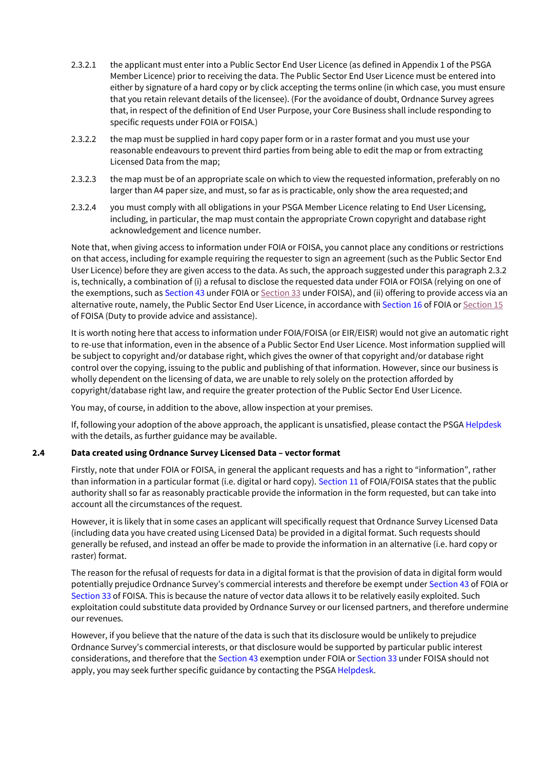- 2.3.2.1 the applicant must enter into a Public Sector End User Licence (as defined in Appendix 1 of the PSGA Member Licence) prior to receiving the data. The Public Sector End User Licence must be entered into either by signature of a hard copy or by click accepting the terms online (in which case, you must ensure that you retain relevant details of the licensee). (For the avoidance of doubt, Ordnance Survey agrees that, in respect of the definition of End User Purpose, your Core Business shall include responding to specific requests under FOIA or FOISA.)
- 2.3.2.2 the map must be supplied in hard copy paper form or in a raster format and you must use your reasonable endeavours to prevent third parties from being able to edit the map or from extracting Licensed Data from the map;
- 2.3.2.3 the map must be of an appropriate scale on which to view the requested information, preferably on no larger than A4 paper size, and must, so far as is practicable, only show the area requested; and
- 2.3.2.4 you must comply with all obligations in your PSGA Member Licence relating to End User Licensing, including, in particular, the map must contain the appropriate Crown copyright and database right acknowledgement and licence number.

Note that, when giving access to information under FOIA or FOISA, you cannot place any conditions or restrictions on that access, including for example requiring the requester to sign an agreement (such as the Public Sector End User Licence) before they are given access to the data. As such, the approach suggested under this paragraph 2.3.2 is, technically, a combination of (i) a refusal to disclose the requested data under FOIA or FOISA (relying on one of the exemptions, such a[s Section 43 u](https://www.legislation.gov.uk/ukpga/2000/36/section/43)nder FOIA o[r Section 33](https://www.legislation.gov.uk/asp/2002/13/section/33) under FOISA), and (ii) offering to provide access via an alternative route, namely, the Public Sector End User Licence, in accordance wit[h Section 16](https://www.legislation.gov.uk/ukpga/2000/36/section/16) of FOIA o[r Section 15](https://www.legislation.gov.uk/asp/2002/13/section/15) of FOISA (Duty to provide advice and assistance).

It is worth noting here that access to information under FOIA/FOISA (or EIR/EISR) would not give an automatic right to re-use that information, even in the absence of a Public Sector End User Licence. Most information supplied will be subject to copyright and/or database right, which gives the owner of that copyright and/or database right control over the copying, issuing to the public and publishing of that information. However, since our business is wholly dependent on the licensing of data, we are unable to rely solely on the protection afforded by copyright/database right law, and require the greater protection of the Public Sector End User Licence.

You may, of course, in addition to the above, allow inspection at your premises.

If, following your adoption of the above approach, the applicant is unsatisfied, please contact the PSGA [Helpdesk](mailto:psga@os.uk) with the details, as further guidance may be available.

# **2.4 Data created using Ordnance Survey Licensed Data – vectorformat**

Firstly, note that under FOIA or FOISA, in general the applicant requests and has a right to "information", rather than information in a particular format (i.e. digital or hard copy)[. Section 11 o](http://www.legislation.gov.uk/ukpga/2000/36/section/11)f FOIA/FOISA states that the public authority shall so far as reasonably practicable provide the information in the form requested, but can take into account all the circumstances of the request.

However, it is likely that in some cases an applicant will specifically request that Ordnance Survey Licensed Data (including data you have created using Licensed Data) be provided in a digital format. Such requests should generally be refused, and instead an offer be made to provide the information in an alternative (i.e. hard copy or raster) format.

The reason for the refusal of requests for data in a digital format is that the provision of data in digital form would potentially prejudice Ordnance Survey's commercial interests and therefore be exempt under [Section 43 o](https://www.legislation.gov.uk/ukpga/2000/36/section/43)f FOIA or [Section 33 o](https://www.legislation.gov.uk/asp/2002/13/section/33)f FOISA. This is because the nature of vector data allows it to be relatively easily exploited. Such exploitation could substitute data provided by Ordnance Survey or our licensed partners, and therefore undermine our revenues.

However, if you believe that the nature of the data is such that its disclosure would be unlikely to prejudice Ordnance Survey's commercial interests, or that disclosure would be supported by particular public interest considerations, and therefore that the [Section 43 e](http://www.legislation.gov.uk/ukpga/2000/36/section/43)xemption under FOIA or [Section 33 u](https://www.legislation.gov.uk/asp/2002/13/section/33)nder FOISA should not apply, you may seek further specific guidance by contacting the PSG[A Helpdesk.](mailto:psga@os.uk)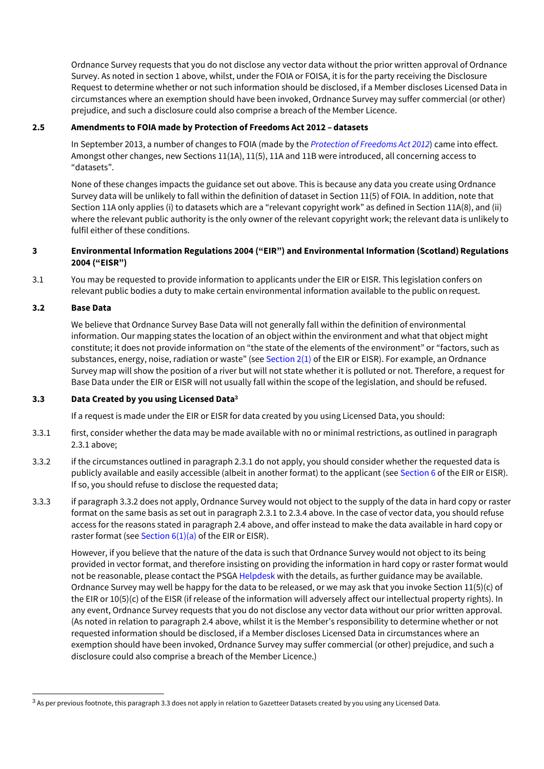Ordnance Survey requests that you do not disclose any vector data without the prior written approval of Ordnance Survey. As noted in section 1 above, whilst, under the FOIA or FOISA, it is for the party receiving the Disclosure Request to determine whether or not such information should be disclosed, if a Member discloses Licensed Data in circumstances where an exemption should have been invoked, Ordnance Survey may suffer commercial (or other) prejudice, and such a disclosure could also comprise a breach of the Member Licence.

#### **2.5 Amendments to FOIA made by Protection of Freedoms Act 2012 – datasets**

In September 2013, a number of changes to FOIA (made by the *[Protection of Freedoms Act 2012](http://www.legislation.gov.uk/ukpga/2012/9/contents/enacted)*) came into effect. Amongst other changes, new Sections 11(1A), 11(5), 11A and 11B were introduced, all concerning access to "datasets".

None of these changes impacts the guidance set out above. This is because any data you create using Ordnance Survey data will be unlikely to fall within the definition of dataset in Section 11(5) of FOIA. In addition, note that Section 11A only applies (i) to datasets which are a "relevant copyright work" as defined in Section 11A(8), and (ii) where the relevant public authority is the only owner of the relevant copyright work; the relevant data is unlikely to fulfil either of these conditions.

# **3 Environmental Information Regulations 2004 ("EIR") and Environmental Information (Scotland)Regulations 2004 ("EISR")**

3.1 You may be requested to provide information to applicants under the EIR or EISR. This legislation confers on relevant public bodies a duty to make certain environmental information available to the public on request.

#### **3.2 Base Data**

We believe that Ordnance Survey Base Data will not generally fall within the definition of environmental information. Our mapping states the location of an object within the environment and what that object might constitute; it does not provide information on "the state of the elements of the environment" or "factors, such as substances, energy, noise, radiation or waste" (see [Section 2\(1\) o](http://www.legislation.gov.uk/uksi/2004/3391/regulation/2/made)f the EIR or EISR). For example, an Ordnance Survey map will show the position of a river but will not state whether it is polluted or not. Therefore, a request for Base Data under the EIR or EISR will not usually fall within the scope of the legislation, and should be refused.

# **3.3 Data Created by you using Licensed Data<sup>3</sup>**

If a request is made under the EIR or EISR for data created by you using Licensed Data, you should:

- 3.3.1 first, consider whether the data may be made available with no or minimal restrictions, as outlined in paragraph 2.3.1 above;
- 3.3.2 if the circumstances outlined in paragraph 2.3.1 do not apply, you should consider whether the requested data is publicly available and easily accessible (albeit in another format) to the applicant (se[e Section 6 o](http://www.legislation.gov.uk/uksi/2004/3391/regulation/6/made)f the EIR or EISR). If so, you should refuse to disclose the requested data;
- 3.3.3 if paragraph 3.3.2 does not apply, Ordnance Survey would not object to the supply of the data in hard copy or raster format on the same basis as set out in paragraph 2.3.1 to 2.3.4 above. In the case of vector data, you should refuse access for the reasons stated in paragraph 2.4 above, and offer instead to make the data available in hard copy or raster format (see Section  $6(1)(a)$  of the EIR or EISR).

However, if you believe that the nature of the data is such that Ordnance Survey would not object to its being provided in vector format, and therefore insisting on providing the information in hard copy or raster format would not be reasonable, please contact the PSGA [Helpdesk w](mailto:psga@os.uk)ith the details, as further guidance may be available. Ordnance Survey may well be happy for the data to be released, or we may ask that you invoke Section 11(5)(c) of the EIR or 10(5)(c) of the EISR (if release of the information will adversely affect our intellectual property rights). In any event, Ordnance Survey requests that you do not disclose any vector data without our prior written approval. (As noted in relation to paragraph 2.4 above, whilst it is the Member's responsibility to determine whether or not requested information should be disclosed, if a Member discloses Licensed Data in circumstances where an exemption should have been invoked, Ordnance Survey may suffer commercial (or other) prejudice, and such a disclosure could also comprise a breach of the Member Licence.)

<sup>&</sup>lt;sup>3</sup> As per previous footnote, this paragraph 3.3 does not apply in relation to Gazetteer Datasets created by you using any Licensed Data.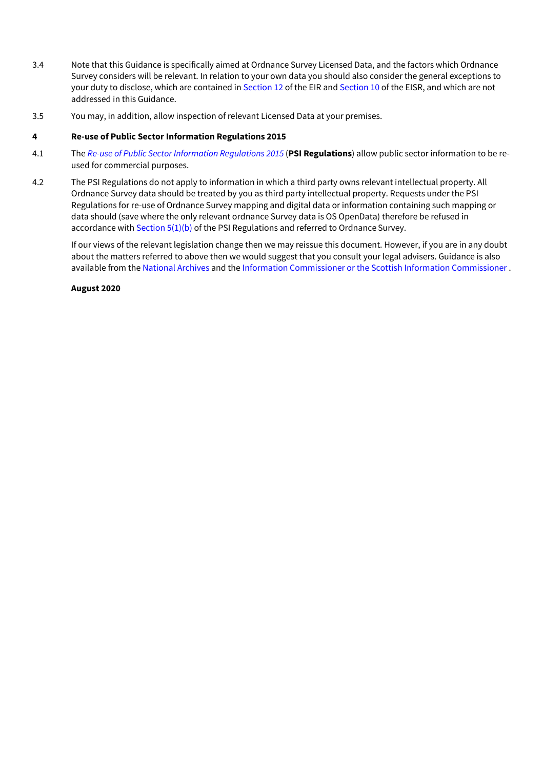- 3.4 Note that this Guidance is specifically aimed at Ordnance Survey Licensed Data, and the factors which Ordnance Survey considers will be relevant. In relation to your own data you should also consider the general exceptions to your duty to disclose, which are contained i[n Section 12 o](http://www.legislation.gov.uk/uksi/2004/3391/regulation/12/made)f the EIR an[d Section 10 o](https://www.legislation.gov.uk/ssi/2004/520/regulation/10/made)f the EISR, and which are not addressed in this Guidance.
- 3.5 You may, in addition, allow inspection of relevant Licensed Data at your premises.

# **4 Re-use of Public Sector Information Regulations 2015**

- 4.1 The *[Re-use of Public Sector Information Regulations 2015](http://www.legislation.gov.uk/uksi/2005/1515/introduction/made)* (**PSI Regulations**) allow public sector information to be reused for commercial purposes.
- 4.2 The PSI Regulations do not apply to information in which a third party owns relevant intellectual property. All Ordnance Survey data should be treated by you as third party intellectual property. Requests under the PSI Regulations for re-use of Ordnance Survey mapping and digital data or information containing such mapping or data should (save where the only relevant ordnance Survey data is OS OpenData) therefore be refused in accordance with Section  $5(1)(b)$  of the PSI Regulations and referred to Ordnance Survey.

If our views of the relevant legislation change then we may reissue this document. However, if you are in any doubt about the matters referred to above then we would suggest that you consult your legal advisers. Guidance is also available from th[e National Archives a](https://www.nationalarchives.gov.uk/information-management/re-using-public-sector-information/)nd th[e Information Commissioner o](https://ico.org.uk/for-organisations/guide-to-freedom-of-information/)r th[e Scottish Information Commissioner .](https://www.itspublicknowledge.info/home/ScottishInformationCommissioner.aspx)

#### **August 2020**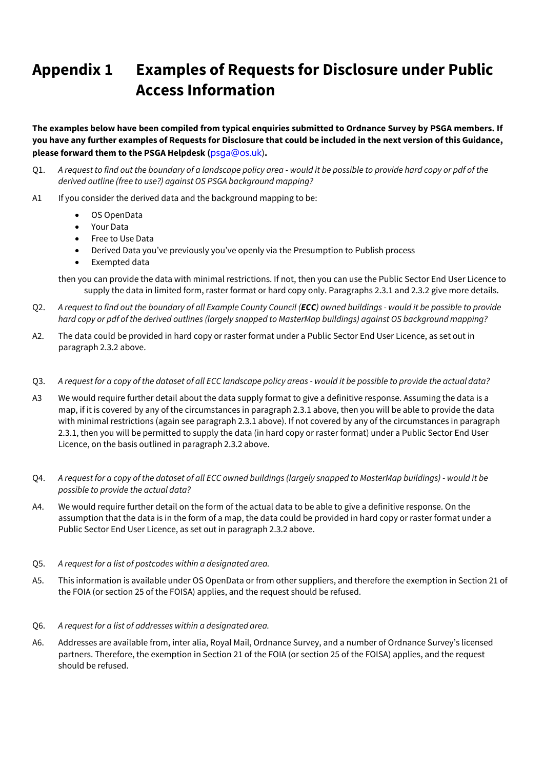# **Appendix 1 Examples of Requests for Disclosure under Public Access Information**

**The examples below have been compiled from typical enquiries submitted to Ordnance Survey by PSGA members. If you have any further examples of Requests for Disclosure that could be included in the next version of this Guidance, please forward them to the PSGA Helpdesk (**[psga@os.uk\)](mailto:psga@os.uk)**.**

- Q1. *A request to find out the boundary of a landscape policy area - would it be possible to provide hard copy or pdf of the derived outline (free to use?) against OS PSGA background mapping?*
- A1 If you consider the derived data and the background mapping to be:
	- OS OpenData
	- Your Data
	- Free to Use Data
	- Derived Data you've previously you've openly via the Presumption to Publish process
	- Exempted data

then you can provide the data with minimal restrictions. If not, then you can use the Public Sector End User Licence to supply the data in limited form, raster format or hard copy only. Paragraphs 2.3.1 and 2.3.2 give more details.

- Q2. *A request to find out the boundary of all Example County Council (ECC) owned buildings - would it be possible to provide hard copy or pdf of the derived outlines (largely snapped to MasterMap buildings) against OS backgroundmapping?*
- A2. The data could be provided in hard copy or raster format under a Public Sector End User Licence, as set out in paragraph 2.3.2 above.
- Q3. *A request for a copy of the dataset of all ECC landscape policy areas - would it be possible to provide the actual data?*
- A3 We would require further detail about the data supply format to give a definitive response. Assuming the data is a map, if it is covered by any of the circumstances in paragraph 2.3.1 above, then you will be able to provide the data with minimal restrictions (again see paragraph 2.3.1 above). If not covered by any of the circumstances in paragraph 2.3.1, then you will be permitted to supply the data (in hard copy or raster format) under a Public Sector End User Licence, on the basis outlined in paragraph 2.3.2 above.
- Q4. *A request for a copy of the dataset of all ECC owned buildings (largely snapped to MasterMap buildings) - would it be possible to provide the actual data?*
- A4. We would require further detail on the form of the actual data to be able to give a definitive response. On the assumption that the data is in the form of a map, the data could be provided in hard copy or raster format under a Public Sector End User Licence, as set out in paragraph 2.3.2 above.
- Q5. *A request for a list of postcodes within a designated area.*
- A5. This information is available under OS OpenData or from other suppliers, and therefore the exemption in Section 21 of the FOIA (or section 25 of the FOISA) applies, and the request should be refused.
- Q6. *A request for a list of addresses within a designated area.*
- A6. Addresses are available from, inter alia, Royal Mail, Ordnance Survey, and a number of Ordnance Survey's licensed partners. Therefore, the exemption in Section 21 of the FOIA (or section 25 of the FOISA) applies, and the request should be refused.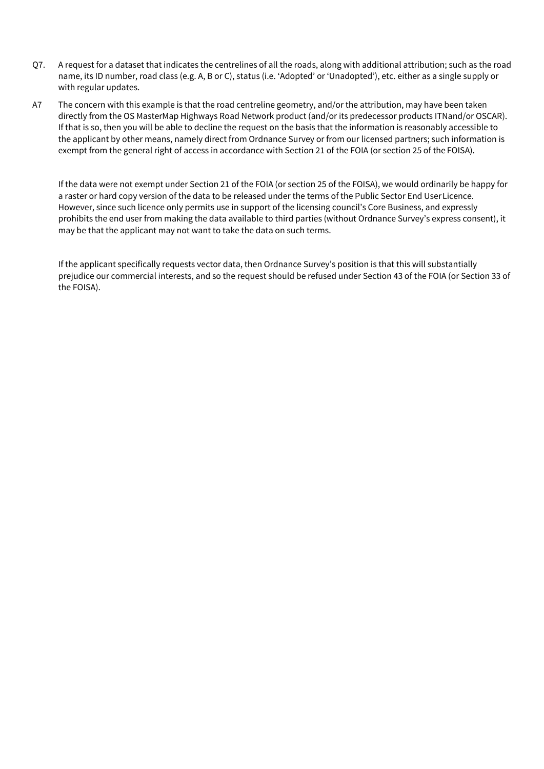- Q7. A request for a dataset that indicates the centrelines of all the roads, along with additional attribution; such as the road name, its ID number, road class (e.g. A, B or C), status (i.e. 'Adopted' or 'Unadopted'), etc. either as a single supply or with regular updates.
- A7 The concern with this example is that the road centreline geometry, and/or the attribution, may have been taken directly from the OS MasterMap Highways Road Network product (and/or its predecessor products ITNand/or OSCAR). If that is so, then you will be able to decline the request on the basis that the information is reasonably accessible to the applicant by other means, namely direct from Ordnance Survey or from our licensed partners; such information is exempt from the general right of access in accordance with Section 21 of the FOIA (or section 25 of the FOISA).

If the data were not exempt under Section 21 of the FOIA (or section 25 of the FOISA), we would ordinarily be happy for a raster or hard copy version of the data to be released under the terms of the Public Sector End UserLicence. However, since such licence only permits use in support of the licensing council's Core Business, and expressly prohibits the end user from making the data available to third parties (without Ordnance Survey's express consent), it may be that the applicant may not want to take the data on such terms.

If the applicant specifically requests vector data, then Ordnance Survey's position is that this will substantially prejudice our commercial interests, and so the request should be refused under Section 43 of the FOIA (or Section 33 of the FOISA).